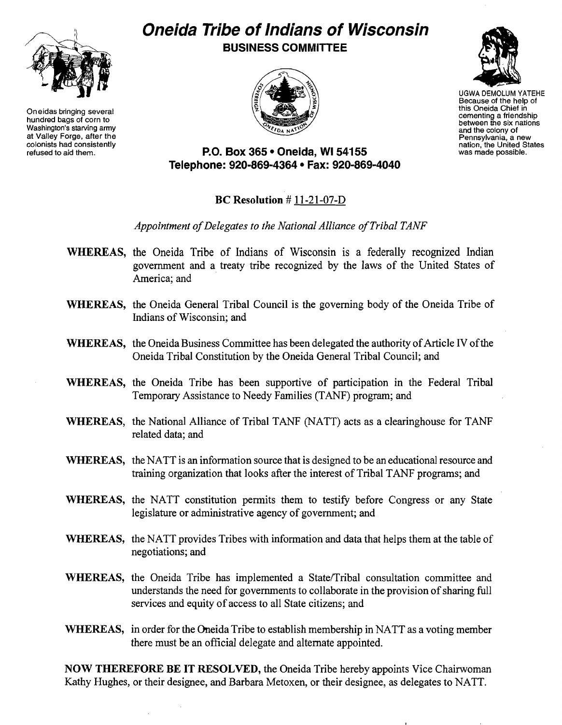

Oneidas bringing several hundred bags of corn to Washington's starving army at Valley Forge, after the colonists had consistently<br>refused to aid them.

# **Oneida Tribe of Indians of Wisconsin**  BUSINESS COMMITTEE





UGWA DEMOLUM YATEHE Because of the help of this Oneida Chief in cementing a friendship between the six nations and the colony of Pennsylvania, a new nation, the United States was made possible.

### P.O. Box 365 • Oneida, WI 54155 Telephone: 920-869-4364 • Fax: 920-869-4040

## BC Resolution # 11-21-07-D

### Appointment of Delegates to the National Alliance of Tribal TANF

- WHEREAS, the Oneida Tribe of Indians of Wisconsin is a federally recognized Indian government and a treaty tribe recognized by the laws of the United States of America; and
- WHEREAS, the Oneida General Tribal Council is the governing body of the Oneida Tribe of Indians of Wisconsin; and
- WHEREAS, the Oneida Business Committee has been delegated the authority of Article IV of the Oneida Tribal Constitution by the Oneida General Tribal Council; and
- WHEREAS, the Oneida Tribe has been supportive of participation in the Federal Tribal Temporary Assistance to Needy Families (TANF) program; and
- WHEREAS, the National Alliance of Tribal TANF (NATT) acts as a clearinghouse for TANF related data; and
- WHEREAS, the NATT is an information source that is designed to be an educational resource and training organization that looks after the interest of Tribal TANF programs; and
- WHEREAS, the NATT constitution permits them to testify before Congress or any State legislature or administrative agency of government; and
- WHEREAS, the NATT provides Tribes with information and data that helps them at the table of negotiations; and
- WHEREAS, the Oneida Tribe has implemented a State/Tribal consultation committee and understands the need for governments to collaborate in the provision of sharing full services and equity of access to all State citizens; and
- WHEREAS, in order for the Oneida Tribe to establish membership in NATT as a voting member there must be an official delegate and alternate appointed.

NOW THEREFORE BE IT RESOLVED, the Oneida Tribe hereby appoints Vice Chairwoman Kathy Hughes, or their designee, and Barbara Metoxen, or their designee, as delegates to NATT.